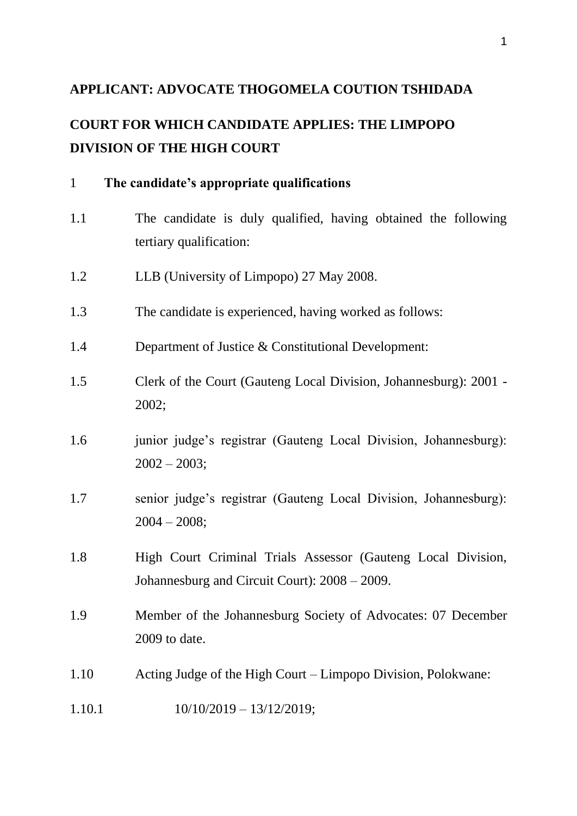## **APPLICANT: ADVOCATE THOGOMELA COUTION TSHIDADA**

# **COURT FOR WHICH CANDIDATE APPLIES: THE LIMPOPO DIVISION OF THE HIGH COURT**

| $\mathbf{1}$ | The candidate's appropriate qualifications                                                                    |
|--------------|---------------------------------------------------------------------------------------------------------------|
| 1.1          | The candidate is duly qualified, having obtained the following<br>tertiary qualification:                     |
| 1.2          | LLB (University of Limpopo) 27 May 2008.                                                                      |
| 1.3          | The candidate is experienced, having worked as follows:                                                       |
| 1.4          | Department of Justice & Constitutional Development:                                                           |
| 1.5          | Clerk of the Court (Gauteng Local Division, Johannesburg): 2001 -<br>2002;                                    |
| 1.6          | junior judge's registrar (Gauteng Local Division, Johannesburg):<br>$2002 - 2003;$                            |
| 1.7          | senior judge's registrar (Gauteng Local Division, Johannesburg):<br>$2004 - 2008;$                            |
| 1.8          | High Court Criminal Trials Assessor (Gauteng Local Division,<br>Johannesburg and Circuit Court): 2008 – 2009. |
| 1.9          | Member of the Johannesburg Society of Advocates: 07 December<br>2009 to date.                                 |
| 1.10         | Acting Judge of the High Court – Limpopo Division, Polokwane:                                                 |
| 1.10.1       | $10/10/2019 - 13/12/2019;$                                                                                    |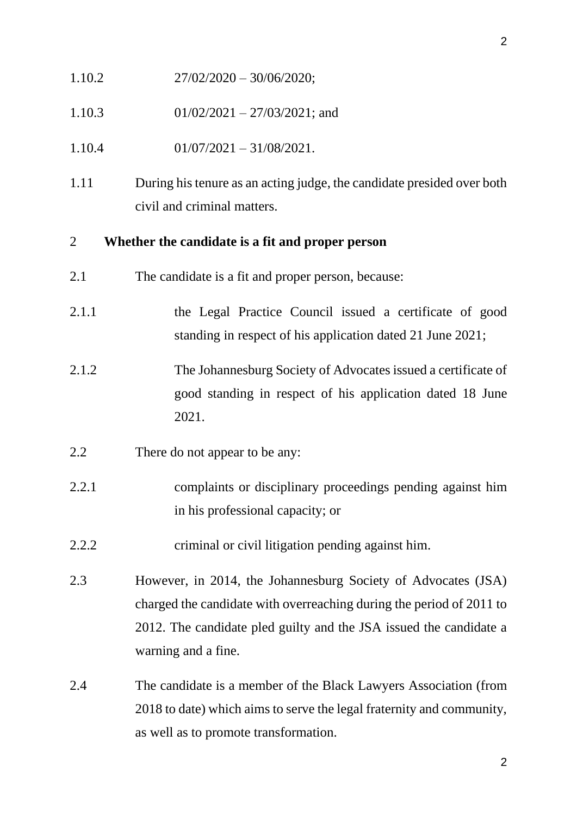- 1.10.2  $27/02/2020 30/06/2020;$
- 1.10.3 01/02/2021 27/03/2021; and
- $1.10.4$  01/07/2021 31/08/2021.
- 1.11 During his tenure as an acting judge, the candidate presided over both civil and criminal matters.

### 2 **Whether the candidate is a fit and proper person**

- 2.1 The candidate is a fit and proper person, because:
- 2.1.1 the Legal Practice Council issued a certificate of good standing in respect of his application dated 21 June 2021;
- 2.1.2 The Johannesburg Society of Advocates issued a certificate of good standing in respect of his application dated 18 June 2021.

## 2.2 There do not appear to be any:

- 2.2.1 complaints or disciplinary proceedings pending against him in his professional capacity; or
- 2.2.2 criminal or civil litigation pending against him.
- 2.3 However, in 2014, the Johannesburg Society of Advocates (JSA) charged the candidate with overreaching during the period of 2011 to 2012. The candidate pled guilty and the JSA issued the candidate a warning and a fine.
- 2.4 The candidate is a member of the Black Lawyers Association (from 2018 to date) which aims to serve the legal fraternity and community, as well as to promote transformation.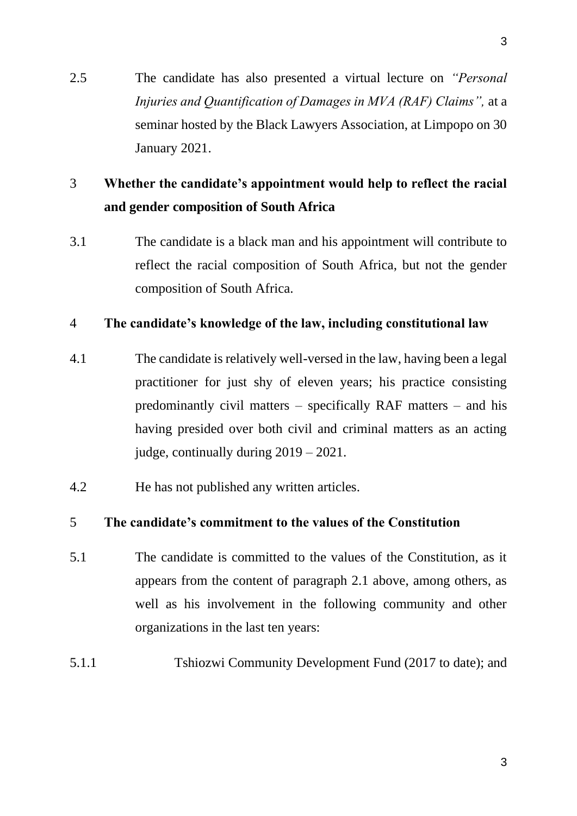2.5 The candidate has also presented a virtual lecture on *"Personal Injuries and Quantification of Damages in MVA (RAF) Claims",* at a seminar hosted by the Black Lawyers Association, at Limpopo on 30 January 2021.

## 3 **Whether the candidate's appointment would help to reflect the racial and gender composition of South Africa**

3.1 The candidate is a black man and his appointment will contribute to reflect the racial composition of South Africa, but not the gender composition of South Africa.

### 4 **The candidate's knowledge of the law, including constitutional law**

- 4.1 The candidate is relatively well-versed in the law, having been a legal practitioner for just shy of eleven years; his practice consisting predominantly civil matters – specifically RAF matters – and his having presided over both civil and criminal matters as an acting judge, continually during 2019 – 2021.
- 4.2 He has not published any written articles.

## 5 **The candidate's commitment to the values of the Constitution**

- 5.1 The candidate is committed to the values of the Constitution, as it appears from the content of paragraph 2.1 above, among others, as well as his involvement in the following community and other organizations in the last ten years:
- 5.1.1 Tshiozwi Community Development Fund (2017 to date); and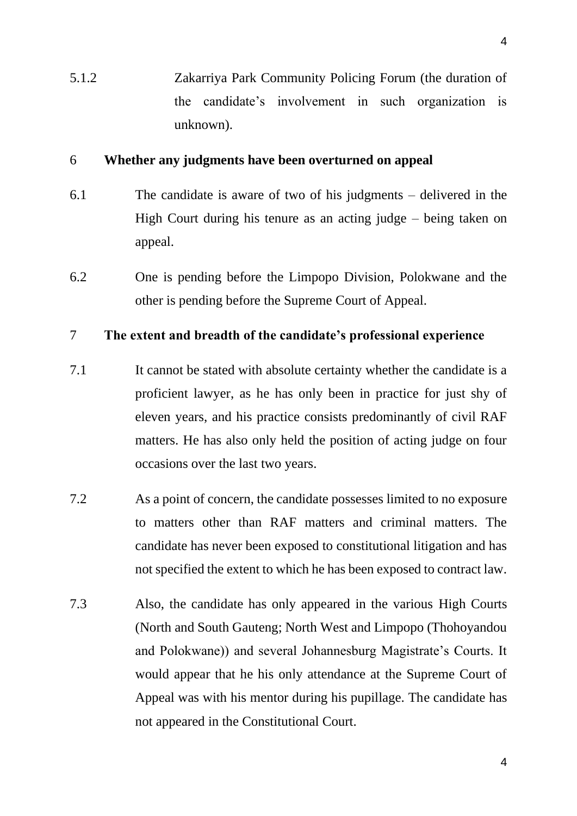5.1.2 Zakarriya Park Community Policing Forum (the duration of the candidate's involvement in such organization is unknown).

#### 6 **Whether any judgments have been overturned on appeal**

- 6.1 The candidate is aware of two of his judgments delivered in the High Court during his tenure as an acting judge – being taken on appeal.
- 6.2 One is pending before the Limpopo Division, Polokwane and the other is pending before the Supreme Court of Appeal.

## 7 **The extent and breadth of the candidate's professional experience**

- 7.1 It cannot be stated with absolute certainty whether the candidate is a proficient lawyer, as he has only been in practice for just shy of eleven years, and his practice consists predominantly of civil RAF matters. He has also only held the position of acting judge on four occasions over the last two years.
- 7.2 As a point of concern, the candidate possesses limited to no exposure to matters other than RAF matters and criminal matters. The candidate has never been exposed to constitutional litigation and has not specified the extent to which he has been exposed to contract law.
- 7.3 Also, the candidate has only appeared in the various High Courts (North and South Gauteng; North West and Limpopo (Thohoyandou and Polokwane)) and several Johannesburg Magistrate's Courts. It would appear that he his only attendance at the Supreme Court of Appeal was with his mentor during his pupillage. The candidate has not appeared in the Constitutional Court.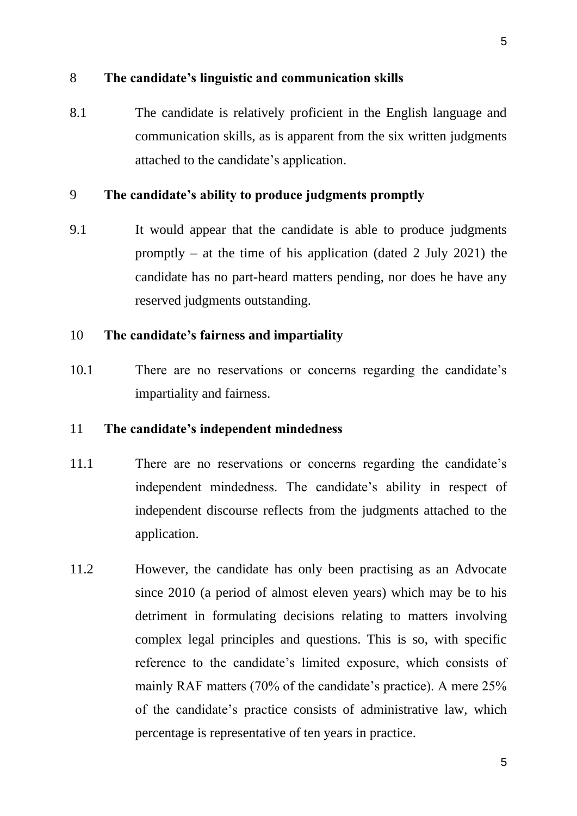#### 8 **The candidate's linguistic and communication skills**

8.1 The candidate is relatively proficient in the English language and communication skills, as is apparent from the six written judgments attached to the candidate's application.

### 9 **The candidate's ability to produce judgments promptly**

9.1 It would appear that the candidate is able to produce judgments promptly – at the time of his application (dated 2 July 2021) the candidate has no part-heard matters pending, nor does he have any reserved judgments outstanding.

#### 10 **The candidate's fairness and impartiality**

10.1 There are no reservations or concerns regarding the candidate's impartiality and fairness.

#### 11 **The candidate's independent mindedness**

- 11.1 There are no reservations or concerns regarding the candidate's independent mindedness. The candidate's ability in respect of independent discourse reflects from the judgments attached to the application.
- 11.2 However, the candidate has only been practising as an Advocate since 2010 (a period of almost eleven years) which may be to his detriment in formulating decisions relating to matters involving complex legal principles and questions. This is so, with specific reference to the candidate's limited exposure, which consists of mainly RAF matters (70% of the candidate's practice). A mere 25% of the candidate's practice consists of administrative law, which percentage is representative of ten years in practice.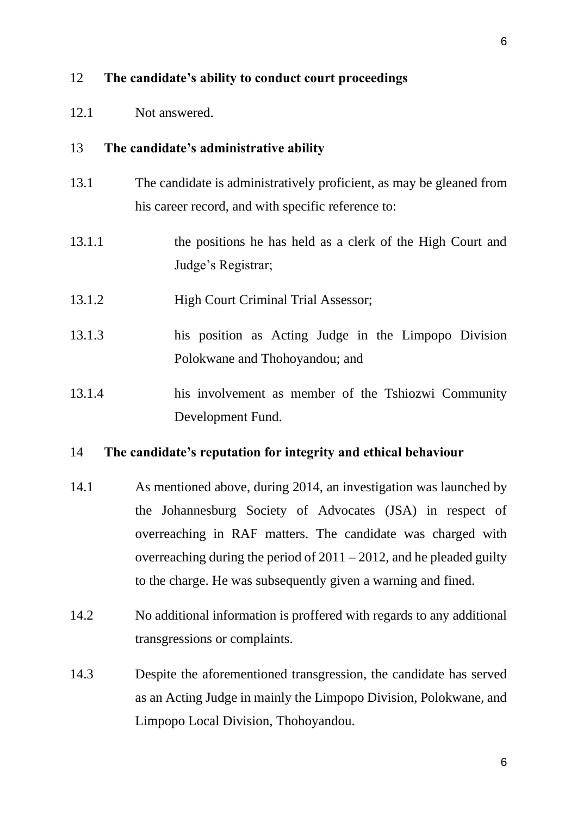### 12 **The candidate's ability to conduct court proceedings**

12.1 Not answered.

#### 13 **The candidate's administrative ability**

- 13.1 The candidate is administratively proficient, as may be gleaned from his career record, and with specific reference to:
- 13.1.1 the positions he has held as a clerk of the High Court and Judge's Registrar;
- 13.1.2 High Court Criminal Trial Assessor;
- 13.1.3 his position as Acting Judge in the Limpopo Division Polokwane and Thohoyandou; and
- 13.1.4 his involvement as member of the Tshiozwi Community Development Fund.

#### 14 **The candidate's reputation for integrity and ethical behaviour**

- 14.1 As mentioned above, during 2014, an investigation was launched by the Johannesburg Society of Advocates (JSA) in respect of overreaching in RAF matters. The candidate was charged with overreaching during the period of  $2011 - 2012$ , and he pleaded guilty to the charge. He was subsequently given a warning and fined.
- 14.2 No additional information is proffered with regards to any additional transgressions or complaints.
- 14.3 Despite the aforementioned transgression, the candidate has served as an Acting Judge in mainly the Limpopo Division, Polokwane, and Limpopo Local Division, Thohoyandou.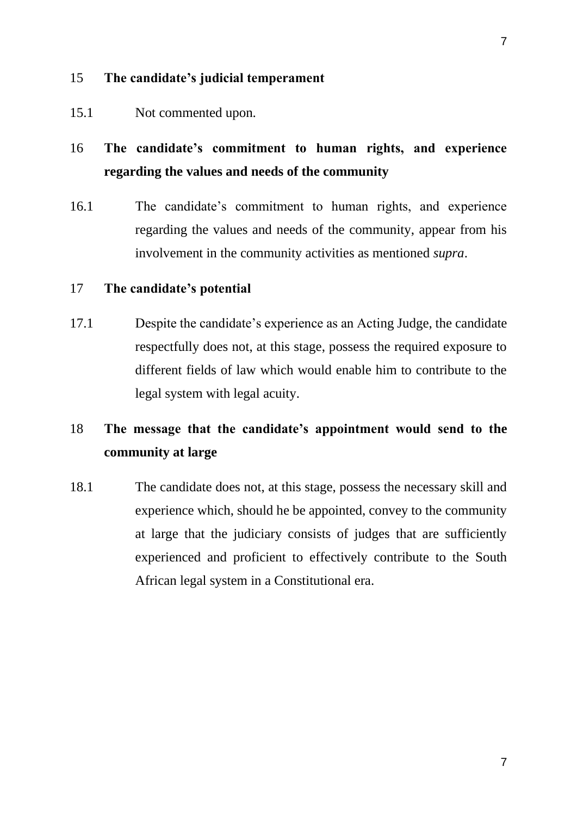## 15 **The candidate's judicial temperament**

15.1 Not commented upon.

# 16 **The candidate's commitment to human rights, and experience regarding the values and needs of the community**

16.1 The candidate's commitment to human rights, and experience regarding the values and needs of the community, appear from his involvement in the community activities as mentioned *supra*.

## 17 **The candidate's potential**

17.1 Despite the candidate's experience as an Acting Judge, the candidate respectfully does not, at this stage, possess the required exposure to different fields of law which would enable him to contribute to the legal system with legal acuity.

# 18 **The message that the candidate's appointment would send to the community at large**

18.1 The candidate does not, at this stage, possess the necessary skill and experience which, should he be appointed, convey to the community at large that the judiciary consists of judges that are sufficiently experienced and proficient to effectively contribute to the South African legal system in a Constitutional era.